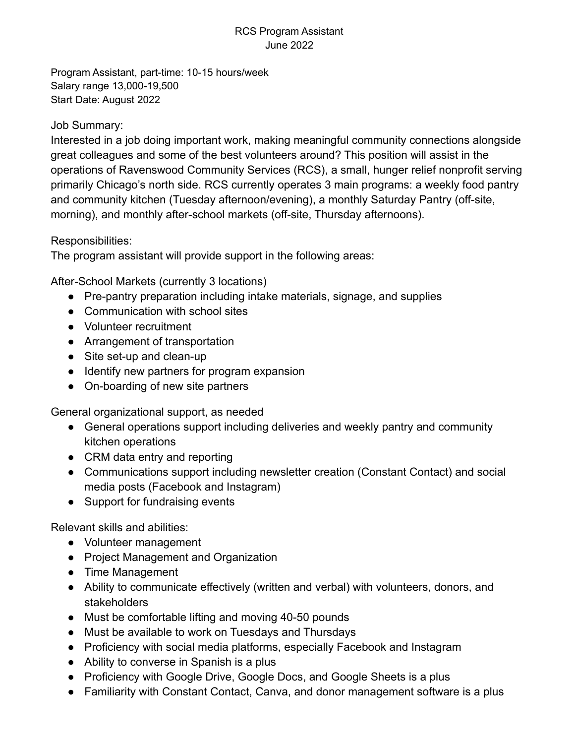## RCS Program Assistant June 2022

Program Assistant, part-time: 10-15 hours/week Salary range 13,000-19,500 Start Date: August 2022

## Job Summary:

Interested in a job doing important work, making meaningful community connections alongside great colleagues and some of the best volunteers around? This position will assist in the operations of Ravenswood Community Services (RCS), a small, hunger relief nonprofit serving primarily Chicago's north side. RCS currently operates 3 main programs: a weekly food pantry and community kitchen (Tuesday afternoon/evening), a monthly Saturday Pantry (off-site, morning), and monthly after-school markets (off-site, Thursday afternoons).

## Responsibilities:

The program assistant will provide support in the following areas:

After-School Markets (currently 3 locations)

- Pre-pantry preparation including intake materials, signage, and supplies
- Communication with school sites
- Volunteer recruitment
- Arrangement of transportation
- Site set-up and clean-up
- Identify new partners for program expansion
- On-boarding of new site partners

General organizational support, as needed

- General operations support including deliveries and weekly pantry and community kitchen operations
- CRM data entry and reporting
- Communications support including newsletter creation (Constant Contact) and social media posts (Facebook and Instagram)
- Support for fundraising events

Relevant skills and abilities:

- Volunteer management
- Project Management and Organization
- Time Management
- Ability to communicate effectively (written and verbal) with volunteers, donors, and stakeholders
- Must be comfortable lifting and moving 40-50 pounds
- Must be available to work on Tuesdays and Thursdays
- Proficiency with social media platforms, especially Facebook and Instagram
- Ability to converse in Spanish is a plus
- Proficiency with Google Drive, Google Docs, and Google Sheets is a plus
- Familiarity with Constant Contact, Canva, and donor management software is a plus